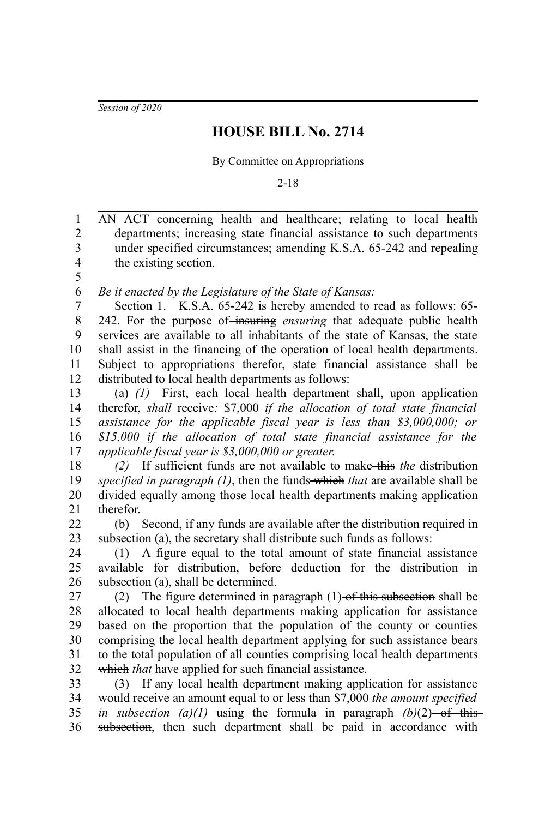*Session of 2020*

## **HOUSE BILL No. 2714**

By Committee on Appropriations

2-18

AN ACT concerning health and healthcare; relating to local health departments; increasing state financial assistance to such departments under specified circumstances; amending K.S.A. 65-242 and repealing the existing section. *Be it enacted by the Legislature of the State of Kansas:* Section 1. K.S.A. 65-242 is hereby amended to read as follows: 65- 242. For the purpose of insuring *ensuring* that adequate public health services are available to all inhabitants of the state of Kansas, the state shall assist in the financing of the operation of local health departments. Subject to appropriations therefor, state financial assistance shall be distributed to local health departments as follows: (a)  $(1)$  First, each local health department-shall, upon application therefor, *shall* receive*:* \$7,000 *if the allocation of total state financial assistance for the applicable fiscal year is less than \$3,000,000; or \$15,000 if the allocation of total state financial assistance for the applicable fiscal year is \$3,000,000 or greater*. *(2)* If sufficient funds are not available to make this *the* distribution *specified in paragraph (1)*, then the funds which *that* are available shall be divided equally among those local health departments making application therefor. (b) Second, if any funds are available after the distribution required in subsection (a), the secretary shall distribute such funds as follows: (1) A figure equal to the total amount of state financial assistance available for distribution, before deduction for the distribution in subsection (a), shall be determined. (2) The figure determined in paragraph  $(1)$  of this subsection shall be allocated to local health departments making application for assistance based on the proportion that the population of the county or counties comprising the local health department applying for such assistance bears to the total population of all counties comprising local health departments which *that* have applied for such financial assistance. (3) If any local health department making application for assistance would receive an amount equal to or less than \$7,000 *the amount specified in subsection (a)(1)* using the formula in paragraph  $(b)(2)$ —of thissubsection, then such department shall be paid in accordance with 1 2 3 4 5 6 7 8 9 10 11 12 13 14 15 16 17 18 19 20 21 22 23 24 25 26 27 28 29 30 31 32 33 34 35 36